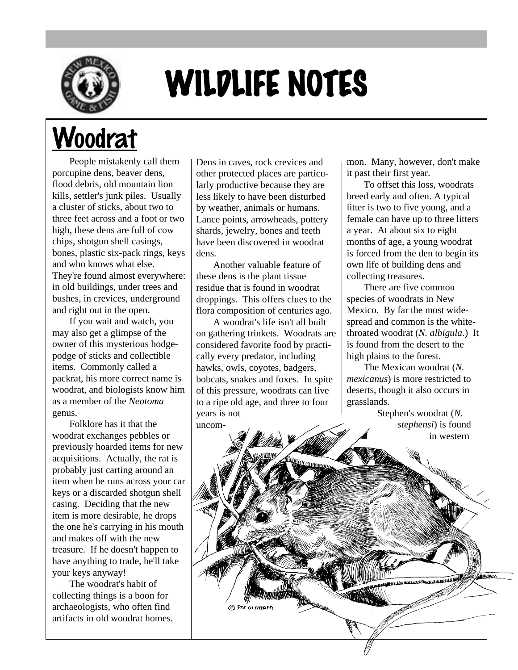

## WILDLIFE NOTES

## **Woodrat**

People mistakenly call them porcupine dens, beaver dens, flood debris, old mountain lion kills, settler's junk piles. Usually a cluster of sticks, about two to three feet across and a foot or two high, these dens are full of cow chips, shotgun shell casings, bones, plastic six-pack rings, keys and who knows what else. They're found almost everywhere: in old buildings, under trees and bushes, in crevices, underground and right out in the open.

If you wait and watch, you may also get a glimpse of the owner of this mysterious hodgepodge of sticks and collectible items. Commonly called a packrat, his more correct name is woodrat, and biologists know him as a member of the *Neotoma* genus.

Folklore has it that the woodrat exchanges pebbles or previously hoarded items for new acquisitions. Actually, the rat is probably just carting around an item when he runs across your car keys or a discarded shotgun shell casing. Deciding that the new item is more desirable, he drops the one he's carrying in his mouth and makes off with the new treasure. If he doesn't happen to have anything to trade, he'll take your keys anyway!

The woodrat's habit of collecting things is a boon for archaeologists, who often find artifacts in old woodrat homes.

Dens in caves, rock crevices and other protected places are particularly productive because they are less likely to have been disturbed by weather, animals or humans. Lance points, arrowheads, pottery shards, jewelry, bones and teeth have been discovered in woodrat dens.

Another valuable feature of these dens is the plant tissue residue that is found in woodrat droppings. This offers clues to the flora composition of centuries ago.

A woodrat's life isn't all built on gathering trinkets. Woodrats are considered favorite food by practically every predator, including hawks, owls, coyotes, badgers, bobcats, snakes and foxes. In spite of this pressure, woodrats can live to a ripe old age, and three to four years is not uncom-

mon. Many, however, don't make it past their first year.

To offset this loss, woodrats breed early and often. A typical litter is two to five young, and a female can have up to three litters a year. At about six to eight months of age, a young woodrat is forced from the den to begin its own life of building dens and collecting treasures.

There are five common species of woodrats in New Mexico. By far the most widespread and common is the whitethroated woodrat (*N. albigula*.) It is found from the desert to the high plains to the forest.

The Mexican woodrat (*N. mexicanus*) is more restricted to deserts, though it also occurs in grasslands.

> Stephen's woodrat (*N. stephensi*) is found in western

C PAT OLDHA